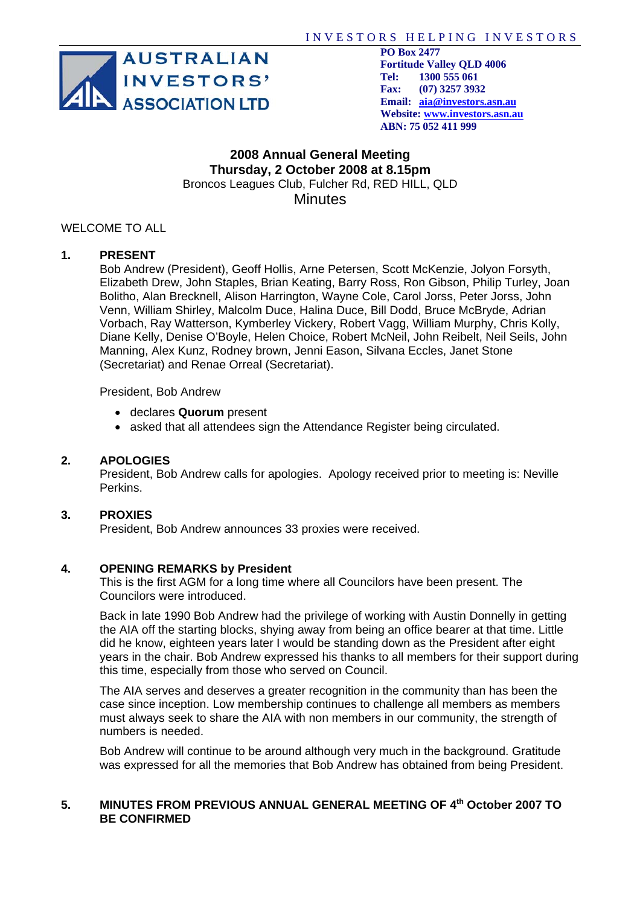

 **PO Box 2477 Tel: 1300 555 061 Fax: (07) 3257 3932 Website: www.investors.asn.au ABN: 75 052 411 999** 

#### **2008 Annual General Meeting Thursday, 2 October 2008 at 8.15pm**  Broncos Leagues Club, Fulcher Rd, RED HILL, QLD **Minutes**

## WELCOME TO ALL

#### **1. PRESENT**

Bob Andrew (President), Geoff Hollis, Arne Petersen, Scott McKenzie, Jolyon Forsyth, Elizabeth Drew, John Staples, Brian Keating, Barry Ross, Ron Gibson, Philip Turley, Joan Bolitho, Alan Brecknell, Alison Harrington, Wayne Cole, Carol Jorss, Peter Jorss, John Venn, William Shirley, Malcolm Duce, Halina Duce, Bill Dodd, Bruce McBryde, Adrian Vorbach, Ray Watterson, Kymberley Vickery, Robert Vagg, William Murphy, Chris Kolly, Diane Kelly, Denise O'Boyle, Helen Choice, Robert McNeil, John Reibelt, Neil Seils, John Manning, Alex Kunz, Rodney brown, Jenni Eason, Silvana Eccles, Janet Stone (Secretariat) and Renae Orreal (Secretariat).

President, Bob Andrew

- declares **Quorum** present
- asked that all attendees sign the Attendance Register being circulated.

#### **2. APOLOGIES**

President, Bob Andrew calls for apologies. Apology received prior to meeting is: Neville Perkins.

#### **3. PROXIES**

President, Bob Andrew announces 33 proxies were received.

#### **4. OPENING REMARKS by President**

This is the first AGM for a long time where all Councilors have been present. The Councilors were introduced.

Back in late 1990 Bob Andrew had the privilege of working with Austin Donnelly in getting the AIA off the starting blocks, shying away from being an office bearer at that time. Little did he know, eighteen years later I would be standing down as the President after eight years in the chair. Bob Andrew expressed his thanks to all members for their support during this time, especially from those who served on Council.

The AIA serves and deserves a greater recognition in the community than has been the case since inception. Low membership continues to challenge all members as members must always seek to share the AIA with non members in our community, the strength of numbers is needed.

Bob Andrew will continue to be around although very much in the background. Gratitude was expressed for all the memories that Bob Andrew has obtained from being President.

#### **5. MINUTES FROM PREVIOUS ANNUAL GENERAL MEETING OF 4th October 2007 TO BE CONFIRMED**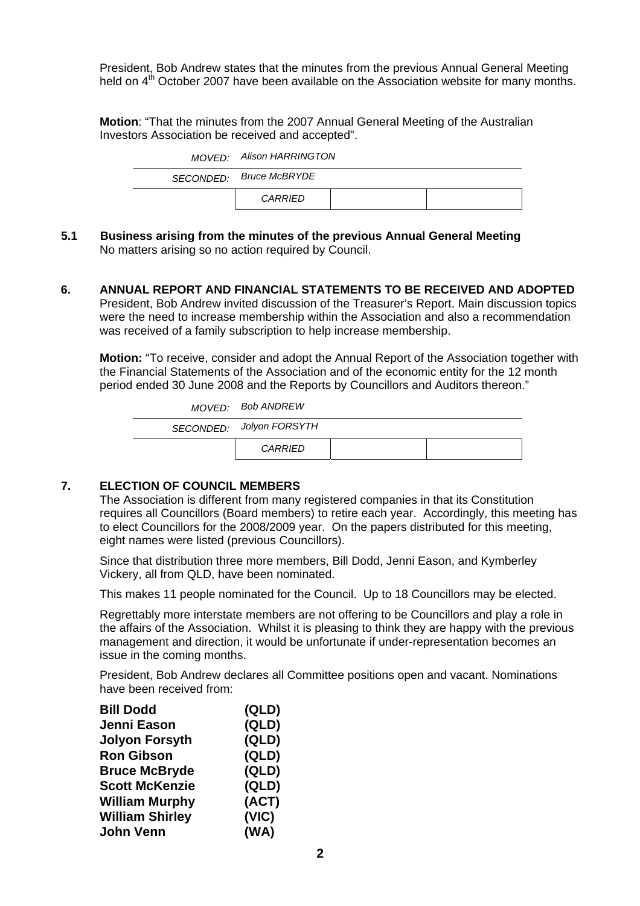President, Bob Andrew states that the minutes from the previous Annual General Meeting held on  $4<sup>th</sup>$  October 2007 have been available on the Association website for many months.

**Motion**: "That the minutes from the 2007 Annual General Meeting of the Australian Investors Association be received and accepted".

| MOVED: Alison HARRINGTON |  |
|--------------------------|--|
| SECONDED: Bruce McBRYDE  |  |
| CARRIED                  |  |

- **5.1 Business arising from the minutes of the previous Annual General Meeting**  No matters arising so no action required by Council.
- **6. ANNUAL REPORT AND FINANCIAL STATEMENTS TO BE RECEIVED AND ADOPTED**  President, Bob Andrew invited discussion of the Treasurer's Report. Main discussion topics were the need to increase membership within the Association and also a recommendation was received of a family subscription to help increase membership.

**Motion:** "To receive, consider and adopt the Annual Report of the Association together with the Financial Statements of the Association and of the economic entity for the 12 month period ended 30 June 2008 and the Reports by Councillors and Auditors thereon."

| MOVED: Bob ANDREW        |  |
|--------------------------|--|
| SECONDED: Jolyon FORSYTH |  |
| CARRIED                  |  |

## **7. ELECTION OF COUNCIL MEMBERS**

The Association is different from many registered companies in that its Constitution requires all Councillors (Board members) to retire each year. Accordingly, this meeting has to elect Councillors for the 2008/2009 year. On the papers distributed for this meeting, eight names were listed (previous Councillors).

Since that distribution three more members, Bill Dodd, Jenni Eason, and Kymberley Vickery, all from QLD, have been nominated.

This makes 11 people nominated for the Council. Up to 18 Councillors may be elected.

Regrettably more interstate members are not offering to be Councillors and play a role in the affairs of the Association. Whilst it is pleasing to think they are happy with the previous management and direction, it would be unfortunate if under-representation becomes an issue in the coming months.

President, Bob Andrew declares all Committee positions open and vacant. Nominations have been received from:

| <b>Bill Dodd</b>       | (QLD) |
|------------------------|-------|
| Jenni Eason            | (QLD) |
| <b>Jolyon Forsyth</b>  | (QLD) |
| <b>Ron Gibson</b>      | (QLD) |
| <b>Bruce McBryde</b>   | (QLD) |
| <b>Scott McKenzie</b>  | (QLD) |
| <b>William Murphy</b>  | (ACT) |
| <b>William Shirley</b> | (VIC) |
| <b>John Venn</b>       | (WA)  |